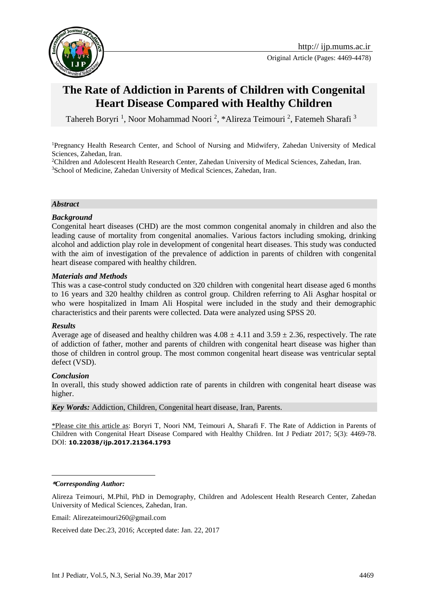

Original Article (Pages: 4469-4478)

# **The Rate of Addiction in Parents of Children with Congenital Heart Disease Compared with Healthy Children**

Tahereh Boryri<sup>1</sup>, Noor Mohammad Noori<sup>2</sup>, \*Alireza Teimouri<sup>2</sup>, Fatemeh Sharafi<sup>3</sup>

<sup>1</sup>Pregnancy Health Research Center, and School of Nursing and Midwifery, Zahedan University of Medical Sciences, Zahedan, Iran.

<sup>2</sup>Children and Adolescent Health Research Center, Zahedan University of Medical Sciences, Zahedan, Iran. <sup>3</sup>School of Medicine, Zahedan University of Medical Sciences, Zahedan, Iran.

#### *Abstract*

#### *Background*

Congenital heart diseases (CHD) are the most common congenital anomaly in children and also the leading cause of mortality from congenital anomalies. Various factors including smoking, drinking alcohol and addiction play role in development of congenital heart diseases. This study was conducted with the aim of investigation of the prevalence of addiction in parents of children with congenital heart disease compared with healthy children.

#### *Materials and Methods*

This was a case-control study conducted on 320 children with congenital heart disease aged 6 months to 16 years and 320 healthy children as control group. Children referring to Ali Asghar hospital or who were hospitalized in Imam Ali Hospital were included in the study and their demographic characteristics and their parents were collected. Data were analyzed using SPSS 20.

#### *Results*

Average age of diseased and healthy children was  $4.08 \pm 4.11$  and  $3.59 \pm 2.36$ , respectively. The rate of addiction of father, mother and parents of children with congenital heart disease was higher than those of children in control group. The most common congenital heart disease was ventricular septal defect (VSD).

#### *Conclusion*

In overall, this study showed addiction rate of parents in children with congenital heart disease was higher.

*Key Words:* Addiction, Children, Congenital heart disease, Iran, Parents.

\*Please cite this article as: Boryri T, Noori NM, Teimouri A, Sharafi F. The Rate of Addiction in Parents of Children with Congenital Heart Disease Compared with Healthy Children. Int J Pediatr 2017; 5(3): 4469-78. DOI: **10.22038/ijp.2017.21364.1793**

#### **\****Corresponding Author:*

<u>.</u>

Alireza Teimouri, M.Phil, PhD in Demography, Children and Adolescent Health Research Center, Zahedan University of Medical Sciences, Zahedan, Iran.

Email: [Alirezateimouri260@gmail.com](mailto:Alirezateimouri260@gmail.com)

Received date Dec.23, 2016; Accepted date: Jan. 22, 2017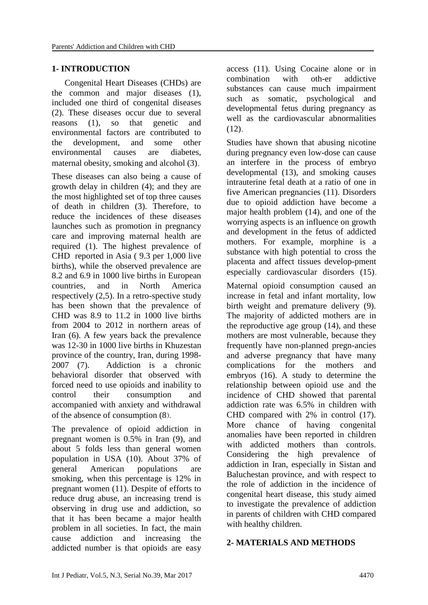# **1- INTRODUCTION**

 Congenital Heart Diseases (CHDs) are the common and major diseases (1), included one third of congenital diseases (2). These diseases occur due to several reasons (1), so that genetic and environmental factors are contributed to the development, and some other environmental causes are diabetes, maternal obesity, smoking and alcohol (3).

These diseases can also being a cause of growth delay in children (4); and they are the most highlighted set of top three causes of death in children (3). Therefore, to reduce the incidences of these diseases launches such as promotion in pregnancy care and improving maternal health are required (1). The highest prevalence of CHD reported in Asia ( 9.3 per 1,000 live births), while the observed prevalence are 8.2 and 6.9 in 1000 live births in European countries, and in North America respectively (2,5). In a retro-spective study has been shown that the prevalence of CHD was 8.9 to 11.2 in 1000 live births from 2004 to 2012 in northern areas of Iran (6). A few years back the prevalence was 12-30 in 1000 live births in Khuzestan province of the country, Iran, during 1998- 2007 (7). Addiction is a chronic behavioral disorder that observed with forced need to use opioids and inability to control their consumption and accompanied with anxiety and withdrawal of the absence of consumption  $(8)$ .

The prevalence of opioid addiction in pregnant women is 0.5% in Iran (9), and about 5 folds less than general women population in USA (10). About 37% of general American populations are smoking, when this percentage is 12% in pregnant women (11). Despite of efforts to reduce drug abuse, an increasing trend is observing in drug use and addiction, so that it has been became a major health problem in all societies. In fact, the main cause addiction and increasing the addicted number is that opioids are easy

access (11). Using Cocaine alone or in combination with oth-er addictive substances can cause much impairment such as somatic, psychological and developmental fetus during pregnancy as well as the cardiovascular abnormalities (12).

Studies have shown that abusing nicotine during pregnancy even low-dose can cause an interfere in the process of embryo developmental (13), and smoking causes intrauterine fetal death at a ratio of one in five American pregnancies (11). Disorders due to opioid addiction have become a major health problem (14), and one of the worrying aspects is an influence on growth and development in the fetus of addicted mothers. For example, morphine is a substance with high potential to cross the placenta and affect tissues develop-pment especially cardiovascular disorders (15).

Maternal opioid consumption caused an increase in fetal and infant mortality, low birth weight and premature delivery (9). The majority of addicted mothers are in the reproductive age group (14), and these mothers are most vulnerable, because they frequently have non-planned pregn-ancies and adverse pregnancy that have many complications for the mothers and embryos (16). A study to determine the relationship between opioid use and the incidence of CHD showed that parental addiction rate was 6.5% in children with CHD compared with 2% in control (17). More chance of having congenital anomalies have been reported in children with addicted mothers than controls. Considering the high prevalence of addiction in Iran, especially in Sistan and Baluchestan province, and with respect to the role of addiction in the incidence of congenital heart disease, this study aimed to investigate the prevalence of addiction in parents of children with CHD compared with healthy children.

#### **2- MATERIALS AND METHODS**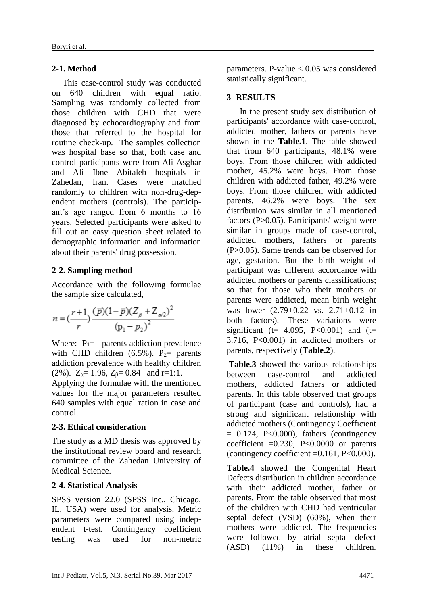# **2-1. Method**

 This case-control study was conducted on 640 children with equal ratio. Sampling was randomly collected from those children with CHD that were diagnosed by echocardiography and from those that referred to the hospital for routine check-up. The samples collection was hospital base so that, both case and control participants were from Ali Asghar and Ali Ibne Abitaleb hospitals in Zahedan, Iran. Cases were matched randomly to children with non-drug-dependent mothers (controls). The participant's age ranged from 6 months to 16 years. Selected participants were asked to fill out an easy question sheet related to demographic information and information about their parents' drug possession.

# **2-2. Sampling method**

Accordance with the following formulae the sample size calculated,

$$
n = \left(\frac{r+1}{r}\right) \frac{(\bar{p})(1-\bar{p})(Z_{\beta} + Z_{\alpha/2})^2}{(p_1 - p_2)^2}
$$

Where:  $P_1$  parents addiction prevalence with CHD children  $(6.5\%)$ . P<sub>2</sub> parents addiction prevalence with healthy children (2%).  $Z_{\alpha} = 1.96$ ,  $Z_{\beta} = 0.84$  and r=1:1.

Applying the formulae with the mentioned values for the major parameters resulted 640 samples with equal ration in case and control.

# **2-3. Ethical consideration**

The study as a MD thesis was approved by the institutional review board and research committee of the Zahedan University of Medical Science.

#### **2-4. Statistical Analysis**

SPSS version 22.0 (SPSS Inc., Chicago, IL, USA) were used for analysis. Metric parameters were compared using independent t-test. Contingency coefficient testing was used for non-metric

parameters. P-value  $< 0.05$  was considered statistically significant.

### **3- RESULTS**

 In the present study sex distribution of participants' accordance with case-control, addicted mother, fathers or parents have shown in the **Table.1**. The table showed that from 640 participants, 48.1% were boys. From those children with addicted mother, 45.2% were boys. From those children with addicted father, 49.2% were boys. From those children with addicted parents, 46.2% were boys. The sex distribution was similar in all mentioned factors (P>0.05). Participants' weight were similar in groups made of case-control, addicted mothers, fathers or parents (P>0.05). Same trends can be observed for age, gestation. But the birth weight of participant was different accordance with addicted mothers or parents classifications; so that for those who their mothers or parents were addicted, mean birth weight was lower (2.79±0.22 vs. 2.71±0.12 in both factors). These variations were significant (t=  $4.095$ , P<0.001) and (t= 3.716, P<0.001) in addicted mothers or parents, respectively (**Table.2**).

**Table.3** showed the various relationships between case-control and addicted mothers, addicted fathers or addicted parents. In this table observed that groups of participant (case and controls), had a strong and significant relationship with addicted mothers (Contingency Coefficient  $= 0.174$ , P<0.000), fathers (contingency coefficient  $=0.230$ , P<0.0000 or parents (contingency coefficient  $=0.161$ ,  $P<0.000$ ).

**Table.4** showed the Congenital Heart Defects distribution in children accordance with their addicted mother, father or parents. From the table observed that most of the children with CHD had ventricular septal defect (VSD) (60%), when their mothers were addicted. The frequencies were followed by atrial septal defect (ASD) (11%) in these children.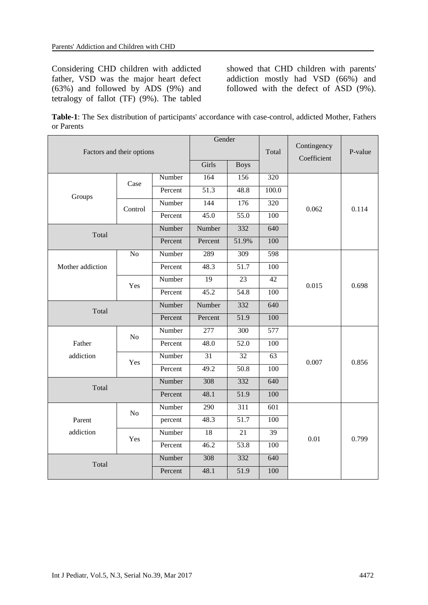Considering CHD children with addicted father, VSD was the major heart defect (63%) and followed by ADS (9%) and tetralogy of fallot (TF) (9%). The tabled

showed that CHD children with parents' addiction mostly had VSD (66%) and followed with the defect of ASD (9%).

**Table-1**: The Sex distribution of participants' accordance with case-control, addicted Mother, Fathers or Parents

| Factors and their options |                |         | Gender            |                   | Total            | Contingency<br>Coefficient | P-value |  |
|---------------------------|----------------|---------|-------------------|-------------------|------------------|----------------------------|---------|--|
|                           |                |         | Girls             | <b>Boys</b>       |                  |                            |         |  |
|                           | Case           | Number  | 164               | 156               | 320              |                            |         |  |
| Groups                    |                | Percent | $\overline{51.3}$ | 48.8              | 100.0            |                            |         |  |
|                           | Control        | Number  | 144               | $\overline{176}$  | 320              | 0.062                      | 0.114   |  |
|                           |                | Percent | 45.0              | $\overline{55.0}$ | $\overline{100}$ |                            |         |  |
| Total                     |                | Number  | Number            | 332               | 640              |                            |         |  |
|                           |                | Percent | Percent           | 51.9%             | 100              |                            |         |  |
|                           | N <sub>o</sub> | Number  | 289               | 309               | 598              |                            |         |  |
| Mother addiction          |                | Percent | 48.3              | 51.7              | 100              |                            |         |  |
|                           | Yes            | Number  | $\overline{19}$   | $\overline{23}$   | 42               | 0.015                      | 0.698   |  |
|                           |                | Percent | 45.2              | 54.8              | 100              |                            |         |  |
| Total                     |                | Number  | Number            | 332               | 640              |                            |         |  |
|                           |                | Percent | Percent           | $\overline{51.9}$ | 100              |                            |         |  |
|                           | N <sub>o</sub> | Number  | 277               | 300               | 577              |                            |         |  |
| Father                    |                | Percent | 48.0              | 52.0              | 100              |                            |         |  |
| addiction                 | Yes            | Number  | $\overline{31}$   | 32                | 63               | 0.007                      | 0.856   |  |
|                           |                | Percent | 49.2              | 50.8              | $\overline{100}$ |                            |         |  |
| Total                     |                | Number  | 308               | 332               | 640              |                            |         |  |
|                           |                | Percent | 48.1              | 51.9              | 100              |                            |         |  |
|                           | No             | Number  | 290               | 311               | 601              |                            |         |  |
| Parent                    |                | percent | 48.3              | $\overline{51.7}$ | 100              |                            |         |  |
| addiction                 | Yes            | Number  | 18                | 21                | 39               | 0.01                       | 0.799   |  |
|                           |                | Percent | 46.2              | 53.8              | 100              |                            |         |  |
| Total                     |                | Number  | 308               | 332               | 640              |                            |         |  |
|                           |                | Percent | 48.1              | 51.9              | 100              |                            |         |  |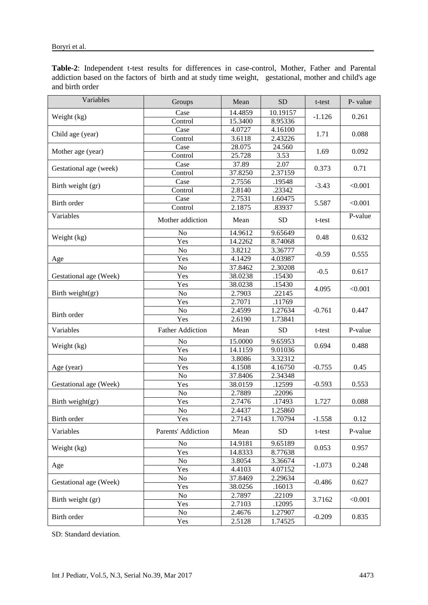|                 | Table-2: Independent t-test results for differences in case-control, Mother, Father and Parental      |  |  |  |  |  |  |
|-----------------|-------------------------------------------------------------------------------------------------------|--|--|--|--|--|--|
|                 | addiction based on the factors of birth and at study time weight, gestational, mother and child's age |  |  |  |  |  |  |
| and birth order |                                                                                                       |  |  |  |  |  |  |

| Variables              | Groups                  | Mean    | <b>SD</b>      | t-test   | P- value |  |
|------------------------|-------------------------|---------|----------------|----------|----------|--|
|                        | Case                    | 14.4859 | 10.19157       |          |          |  |
| Weight (kg)            | Control                 | 15.3400 | 8.95336        | $-1.126$ | 0.261    |  |
|                        | Case                    | 4.0727  | 4.16100        |          |          |  |
| Child age (year)       | Control                 | 3.6118  | 2.43226        | 1.71     | 0.088    |  |
|                        | Case                    | 28.075  | 24.560         |          |          |  |
| Mother age (year)      | Control                 | 25.728  | 3.53           | 1.69     | 0.092    |  |
|                        | Case                    | 37.89   | 2.07           |          |          |  |
| Gestational age (week) | Control                 | 37.8250 | 2.37159        | 0.373    | 0.71     |  |
|                        | Case                    | 2.7556  | .19548         |          |          |  |
| Birth weight (gr)      | Control                 | 2.8140  | .23342         | $-3.43$  | < 0.001  |  |
|                        | Case                    | 2.7531  | 1.60475        |          |          |  |
| Birth order            | Control                 | 2.1875  | .83937         | 5.587    | < 0.001  |  |
| Variables              | Mother addiction        | Mean    | <b>SD</b>      | t-test   | P-value  |  |
|                        | No                      | 14.9612 | 9.65649        |          |          |  |
| Weight (kg)            | Yes                     | 14.2262 | 8.74068        | 0.48     | 0.632    |  |
|                        | No                      | 3.8212  | 3.36777        |          |          |  |
| Age                    | Yes                     | 4.1429  | 4.03987        | $-0.59$  | 0.555    |  |
|                        | No                      | 37.8462 | 2.30208        |          |          |  |
| Gestational age (Week) | Yes                     | 38.0238 | .15430         | $-0.5$   | 0.617    |  |
|                        | Yes                     | 38.0238 | .15430         |          |          |  |
| Birth weight(gr)       | No                      | 2.7903  | .22145         | 4.095    | < 0.001  |  |
|                        | Yes                     | 2.7071  | .11769         |          |          |  |
|                        | No                      | 2.4599  | 1.27634        | $-0.761$ | 0.447    |  |
| Birth order            | Yes                     | 2.6190  | 1.73841        |          |          |  |
| Variables              | <b>Father Addiction</b> | Mean    | <b>SD</b>      | t-test   | P-value  |  |
|                        | No                      | 15.0000 | 9.65953        | 0.694    | 0.488    |  |
| Weight (kg)            | Yes                     | 14.1159 | 9.01036        |          |          |  |
|                        | No                      | 3.8086  | 3.32312        |          |          |  |
| Age (year)             | Yes                     | 4.1508  | 4.16750        | $-0.755$ | 0.45     |  |
|                        | No                      | 37.8406 | 2.34348        |          |          |  |
| Gestational age (Week) | Yes                     | 38.0159 | .12599         | $-0.593$ | 0.553    |  |
|                        | No                      | 2.7889  | .22096         |          |          |  |
| Birth weight $(gr)$    | Yes                     | 2.7476  | .17493         | 1.727    | 0.088    |  |
|                        | No                      | 2.4437  | 1.25860        |          |          |  |
| Birth order            | Yes                     | 2.7143  | 1.70794        | $-1.558$ | 0.12     |  |
| Variables              | Parents' Addiction      | Mean    | SD <sub></sub> | t-test   | P-value  |  |
|                        | No                      | 14.9181 | 9.65189        |          |          |  |
| Weight (kg)            | Yes                     | 14.8333 | 8.77638        | 0.053    | 0.957    |  |
|                        | No                      | 3.8054  | 3.36674        |          |          |  |
| Age                    | Yes                     | 4.4103  | 4.07152        | $-1.073$ | 0.248    |  |
|                        | No                      | 37.8469 | 2.29634        |          |          |  |
| Gestational age (Week) | Yes                     | 38.0256 | .16013         | $-0.486$ | 0.627    |  |
|                        | No                      | 2.7897  | .22109         |          |          |  |
| Birth weight (gr)      | Yes                     | 2.7103  | .12095         | 3.7162   | < 0.001  |  |
| Birth order            | No                      | 2.4676  | 1.27907        |          |          |  |
|                        | Yes                     | 2.5128  | 1.74525        | $-0.209$ | 0.835    |  |

SD: Standard deviation.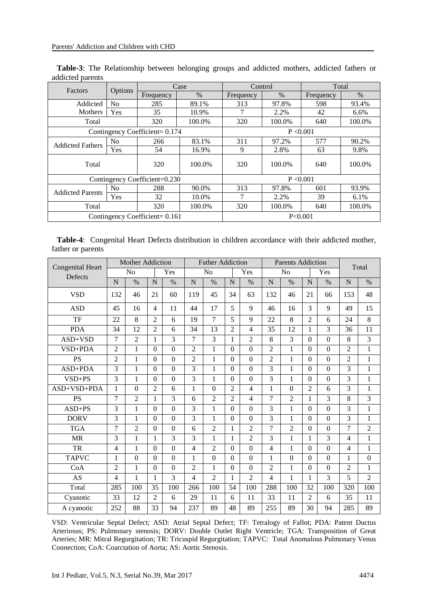| Factors                 |                |                                | Case   | Control   |           | Total     |        |  |  |  |
|-------------------------|----------------|--------------------------------|--------|-----------|-----------|-----------|--------|--|--|--|
|                         | Options        | $\%$<br>Frequency              |        | Frequency | $\%$      | Frequency | $\%$   |  |  |  |
| Addicted                | N <sub>0</sub> | 285                            | 89.1%  | 313       | 97.8%     | 598       | 93.4%  |  |  |  |
| Mothers                 | Yes            | 35                             | 10.9%  |           | 2.2%      | 42        | 6.6%   |  |  |  |
| Total                   |                | 320                            | 100.0% | 320       | 100.0%    | 640       | 100.0% |  |  |  |
|                         |                | Contingency Coefficient= 0.174 |        | P < 0.001 |           |           |        |  |  |  |
| <b>Addicted Fathers</b> | N <sub>0</sub> | 266                            | 83.1%  | 311       | 97.2%     | 577       | 90.2%  |  |  |  |
|                         | Yes            | 54                             | 16.9%  | 9         | 2.8%      | 63        | 9.8%   |  |  |  |
| Total                   |                | 320                            | 100.0% | 320       | 100.0%    | 640       | 100.0% |  |  |  |
|                         |                | Contingency Coefficient=0.230  |        |           | P < 0.001 |           |        |  |  |  |
| <b>Addicted Parents</b> | N <sub>0</sub> | 288                            | 90.0%  | 313       | 97.8%     | 601       | 93.9%  |  |  |  |
|                         | Yes            | 32                             | 10.0%  |           | 2.2%      | 39        | 6.1%   |  |  |  |
| Total                   |                | 320                            | 100.0% | 320       | 100.0%    | 640       | 100.0% |  |  |  |
|                         |                | Contingency Coefficient= 0.161 |        |           | P<0.001   |           |        |  |  |  |

**Table-3**: The Relationship between belonging groups and addicted mothers, addicted fathers or addicted parents

|                   | Table-4: Congenital Heart Defects distribution in children accordance with their addicted mother, |  |  |  |  |  |
|-------------------|---------------------------------------------------------------------------------------------------|--|--|--|--|--|
| father or parents |                                                                                                   |  |  |  |  |  |

|                                    | Mother Addiction |                  |                  |                  | <b>Father Addiction</b> |                |                |                  | <b>Parents Addiction</b> |                |                |                | Total          |                  |
|------------------------------------|------------------|------------------|------------------|------------------|-------------------------|----------------|----------------|------------------|--------------------------|----------------|----------------|----------------|----------------|------------------|
| <b>Congenital Heart</b><br>Defects |                  | N <sub>o</sub>   |                  | Yes              |                         | N <sub>o</sub> |                | Yes              |                          | No             |                | Yes            |                |                  |
|                                    | N                | $\%$             | $\overline{N}$   | $\%$             | N                       | $\%$           | N              | $\%$             | $\mathbf N$              | $\%$           | N              | $\%$           | $\mathbf N$    | $\%$             |
| <b>VSD</b>                         | 132              | 46               | 21               | 60               | 119                     | 45             | 34             | 63               | 132                      | 46             | 21             | 66             | 153            | 48               |
| <b>ASD</b>                         | 45               | 16               | $\overline{4}$   | 11               | 44                      | 17             | 5              | 9                | 46                       | 16             | 3              | 9              | 49             | 15               |
| $\overline{\text{TF}}$             | 22               | $\overline{8}$   | $\overline{2}$   | $\overline{6}$   | 19                      | $\overline{7}$ | $\overline{5}$ | 9                | 22                       | $\overline{8}$ | $\overline{2}$ | 6              | 24             | $\overline{8}$   |
| <b>PDA</b>                         | 34               | 12               | $\overline{2}$   | 6                | 34                      | 13             | $\overline{2}$ | 4                | 35                       | 12             | 1              | 3              | 36             | 11               |
| $ASD+VSD$                          | $\overline{7}$   | $\overline{2}$   | $\mathbf{1}$     | 3                | $\overline{7}$          | 3              | $\mathbf{1}$   | $\overline{2}$   | 8                        | 3              | $\Omega$       | $\theta$       | 8              | 3                |
| VSD+PDA                            | $\overline{2}$   | $\mathbf{1}$     | $\boldsymbol{0}$ | $\mathbf{0}$     | $\overline{2}$          | $\mathbf{1}$   | $\Omega$       | $\overline{0}$   | $\overline{2}$           | $\mathbf{1}$   | $\Omega$       | $\theta$       | $\overline{2}$ | $\mathbf{1}$     |
| <b>PS</b>                          | $\overline{2}$   | $\mathbf{1}$     | $\Omega$         | $\boldsymbol{0}$ | $\overline{2}$          | $\mathbf{1}$   | $\theta$       | $\Omega$         | $\overline{2}$           | $\mathbf{1}$   | $\Omega$       | $\Omega$       | $\overline{2}$ | $\mathbf{1}$     |
| ASD+PDA                            | 3                | $\mathbf{1}$     | $\boldsymbol{0}$ | $\boldsymbol{0}$ | 3                       | $\mathbf{1}$   | $\Omega$       | $\Omega$         | 3                        | $\mathbf{1}$   | $\Omega$       | $\Omega$       | 3              | 1                |
| $VSD+PS$                           | 3                | 1                | $\mathbf{0}$     | $\boldsymbol{0}$ | 3                       | 1              | $\Omega$       | $\boldsymbol{0}$ | 3                        | 1              | $\Omega$       | $\Omega$       | 3              | 1                |
| ASD+VSD+PDA                        | $\mathbf{1}$     | $\Omega$         | $\overline{2}$   | 6                | 1                       | $\Omega$       | $\overline{2}$ | $\overline{4}$   | $\mathbf{1}$             | $\overline{0}$ | $\overline{2}$ | 6              | 3              | $\mathbf{1}$     |
| PS                                 | 7                | $\overline{2}$   | $\mathbf{1}$     | $\overline{3}$   | 6                       | $\overline{2}$ | $\overline{2}$ | $\overline{4}$   | $\overline{7}$           | $\overline{2}$ | 1              | 3              | $\overline{8}$ | $\overline{3}$   |
| $ASD+PS$                           | 3                | $\mathbf{1}$     | $\boldsymbol{0}$ | $\mathbf{0}$     | 3                       | $\mathbf{1}$   | $\theta$       | $\Omega$         | 3                        | 1              | $\Omega$       | $\Omega$       | 3              | $\mathbf{1}$     |
| <b>DORV</b>                        | 3                | $\mathbf{1}$     | $\overline{0}$   | $\mathbf{0}$     | 3                       | $\mathbf{1}$   | $\theta$       | $\overline{0}$   | 3                        | $\mathbf{1}$   | $\Omega$       | $\overline{0}$ | 3              | 1                |
| <b>TGA</b>                         | 7                | $\overline{2}$   | $\overline{0}$   | $\overline{0}$   | 6                       | $\mathfrak{D}$ | 1              | $\mathfrak{D}$   | 7                        | $\overline{2}$ | $\Omega$       | $\Omega$       | $\overline{7}$ | $\overline{2}$   |
| <b>MR</b>                          | 3                | $\mathbf{1}$     | $\mathbf{1}$     | $\overline{3}$   | $\overline{3}$          | $\mathbf{1}$   | 1              | $\overline{2}$   | 3                        | $\mathbf{1}$   | 1              | 3              | $\overline{4}$ | $\mathbf{1}$     |
| <b>TR</b>                          | 4                | $\mathbf{1}$     | $\boldsymbol{0}$ | $\boldsymbol{0}$ | $\overline{4}$          | $\mathfrak{D}$ | $\Omega$       | $\overline{0}$   | $\overline{4}$           | $\mathbf{1}$   | $\Omega$       | $\Omega$       | $\overline{4}$ | $\mathbf{1}$     |
| <b>TAPVC</b>                       | 1                | $\boldsymbol{0}$ | $\boldsymbol{0}$ | $\boldsymbol{0}$ | 1                       | $\Omega$       | $\theta$       | $\Omega$         | $\mathbf{1}$             | $\Omega$       | $\Omega$       | $\Omega$       | 1              | $\boldsymbol{0}$ |
| CoA                                | $\overline{2}$   | $\mathbf{1}$     | $\boldsymbol{0}$ | $\mathbf{0}$     | $\overline{2}$          | 1              | $\theta$       | $\overline{0}$   | $\overline{2}$           | $\mathbf{1}$   | $\Omega$       | $\overline{0}$ | $\overline{2}$ | $\mathbf{1}$     |
| AS                                 | 4                | $\mathbf{1}$     | $\mathbf{1}$     | 3                | $\overline{4}$          | $\overline{2}$ | 1              | $\overline{2}$   | $\overline{4}$           | $\mathbf{1}$   | 1              | 3              | 5              | $\overline{2}$   |
| Total                              | 285              | 100              | 35               | 100              | 266                     | 100            | 54             | 100              | 288                      | 100            | 32             | 100            | 320            | 100              |
| Cyanotic                           | 33               | 12               | $\overline{2}$   | 6                | 29                      | 11             | 6              | 11               | 33                       | 11             | $\overline{2}$ | 6              | 35             | 11               |
| A cyanotic                         | 252              | 88               | 33               | 94               | 237                     | 89             | 48             | 89               | 255                      | 89             | 30             | 94             | 285            | 89               |

VSD: Ventricular Septal Defect; ASD: Atrial Septal Defect; TF: Tetralogy of Fallot; PDA: Patent Ductus Arteriosus; PS: Pulmonary stenosis; DORV: Double Outlet Right Ventricle; TGA: Transposition of Great Arteries; MR: Mitral Regurgitation; TR: Tricuspid Regurgitation; TAPVC: Total Anomalous Pulmonary Venus Connection; CoA: Coarctation of Aorta; AS: Aortic Stenosis.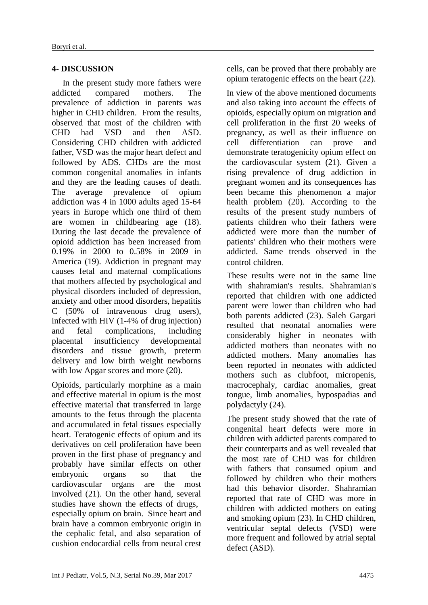### **4- DISCUSSION**

 In the present study more fathers were addicted compared mothers. The prevalence of addiction in parents was higher in CHD children. From the results, observed that most of the children with<br>CHD had VSD and then ASD CHD had VSD and then ASD. Considering CHD children with addicted father, VSD was the major heart defect and followed by ADS. CHDs are the most common congenital anomalies in infants and they are the leading causes of death. The average prevalence of opium addiction was 4 in 1000 adults aged 15-64 years in Europe which one third of them are women in childbearing age (18). During the last decade the prevalence of opioid addiction has been increased from 0.19% in 2000 to 0.58% in 2009 in America (19). Addiction in pregnant may causes fetal and maternal complications that mothers affected by psychological and physical disorders included of depression, anxiety and other mood disorders, hepatitis C (50% of intravenous drug users), infected with HIV (1-4% of drug injection) and fetal complications, including placental insufficiency developmental disorders and tissue growth, preterm delivery and low birth weight newborns with low Apgar scores and more  $(20)$ .

Opioids, particularly morphine as a main and effective material in opium is the most effective material that transferred in large amounts to the fetus through the placenta and accumulated in fetal tissues especially heart. Teratogenic effects of opium and its derivatives on cell proliferation have been proven in the first phase of pregnancy and probably have similar effects on other embryonic organs so that the cardiovascular organs are the most involved (21). On the other hand, several studies have shown the effects of drugs, especially opium on brain. Since heart and brain have a common embryonic origin in the cephalic fetal, and also separation of cushion endocardial cells from neural crest cells, can be proved that there probably are opium teratogenic effects on the heart (22).

In view of the above mentioned documents and also taking into account the effects of opioids, especially opium on migration and cell proliferation in the first 20 weeks of pregnancy, as well as their influence on cell differentiation can prove and demonstrate teratogenicity opium effect on the cardiovascular system (21). Given a rising prevalence of drug addiction in pregnant women and its consequences has been became this phenomenon a major health problem (20). According to the results of the present study numbers of patients children who their fathers were addicted were more than the number of patients' children who their mothers were addicted. Same trends observed in the control children.

These results were not in the same line with shahramian's results. Shahramian's reported that children with one addicted parent were lower than children who had both parents addicted (23). Saleh Gargari resulted that neonatal anomalies were considerably higher in neonates with addicted mothers than neonates with no addicted mothers. Many anomalies has been reported in neonates with addicted mothers such as clubfoot, micropenis, macrocephaly, cardiac anomalies, great tongue, limb anomalies, hypospadias and polydactyly (24).

The present study showed that the rate of congenital heart defects were more in children with addicted parents compared to their counterparts and as well revealed that the most rate of CHD was for children with fathers that consumed opium and followed by children who their mothers had this behavior disorder. Shahramian reported that rate of CHD was more in children with addicted mothers on eating and smoking opium (23). In CHD children, ventricular septal defects (VSD) were more frequent and followed by atrial septal defect (ASD).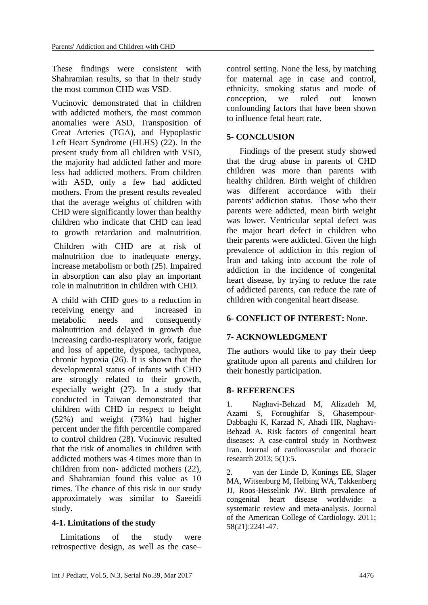These findings were consistent with Shahramian results, so that in their study the most common CHD was VSD.

Vucinovic demonstrated that in children with addicted mothers, the most common anomalies were ASD, Transposition of Great Arteries (TGA), and Hypoplastic Left Heart Syndrome (HLHS) (22). In the present study from all children with VSD, the majority had addicted father and more less had addicted mothers. From children with ASD, only a few had addicted mothers. From the present results revealed that the average weights of children with CHD were significantly lower than healthy children who indicate that CHD can lead to growth retardation and malnutrition.

Children with CHD are at risk of malnutrition due to inadequate energy, increase metabolism or both (25). Impaired in absorption can also play an important role in malnutrition in children with CHD.

A child with CHD goes to a reduction in receiving energy and increased in metabolic needs and consequently malnutrition and delayed in growth due increasing cardio-respiratory work, fatigue and loss of appetite, dyspnea, tachypnea, chronic hypoxia (26). It is shown that the developmental status of infants with CHD are strongly related to their growth, especially weight (27). In a study that conducted in Taiwan demonstrated that children with CHD in respect to height (52%) and weight (73%) had higher percent under the fifth percentile compared to control children (28). Vucinovic resulted that the risk of anomalies in children with addicted mothers was 4 times more than in children from non- addicted mothers (22), and Shahramian found this value as 10 times. The chance of this risk in our study approximately was similar to Saeeidi study.

# **4-1. Limitations of the study**

 Limitations of the study were retrospective design, as well as the case– control setting. None the less, by matching for maternal age in case and control, ethnicity, smoking status and mode of conception, we ruled out known confounding factors that have been shown to influence fetal heart rate.

# **5- CONCLUSION**

 Findings of the present study showed that the drug abuse in parents of CHD children was more than parents with healthy children. Birth weight of children was different accordance with their parents' addiction status. Those who their parents were addicted, mean birth weight was lower. Ventricular septal defect was the major heart defect in children who their parents were addicted. Given the high prevalence of addiction in this region of Iran and taking into account the role of addiction in the incidence of congenital heart disease, by trying to reduce the rate of addicted parents, can reduce the rate of children with congenital heart disease.

# **6- CONFLICT OF INTEREST:** None.

# **7- ACKNOWLEDGMENT**

The authors would like to pay their deep gratitude upon all parents and children for their honestly participation.

#### **8- REFERENCES**

1. Naghavi-Behzad M, Alizadeh M, Azami S, Foroughifar S, Ghasempour-Dabbaghi K, Karzad N, Ahadi HR, Naghavi-Behzad A. Risk factors of congenital heart diseases: A case-control study in Northwest Iran. Journal of cardiovascular and thoracic research 2013; 5(1):5.

2. van der Linde D, Konings EE, Slager MA, Witsenburg M, Helbing WA, Takkenberg JJ, Roos-Hesselink JW. Birth prevalence of congenital heart disease worldwide: a systematic review and meta-analysis. Journal of the American College of Cardiology. 2011; 58(21):2241-47.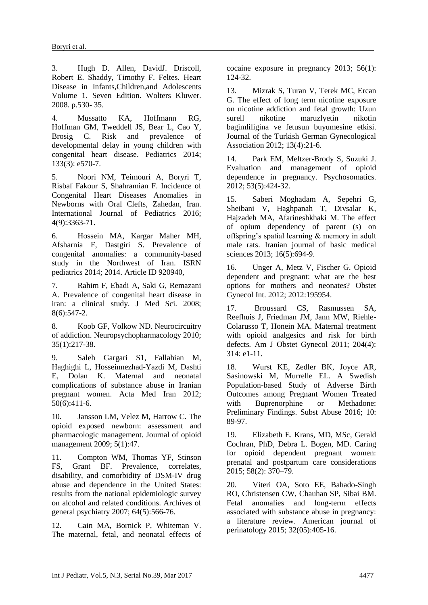3. Hugh D. Allen, DavidJ. Driscoll, Robert E. Shaddy, Timothy F. Feltes. Heart Disease in Infants,Children,and Adolescents Volume 1. Seven Edition. Wolters Kluwer. 2008. p.530- 35.

4. Mussatto KA, Hoffmann RG, Hoffman GM, Tweddell JS, Bear L, Cao Y, Brosig C. Risk and prevalence of developmental delay in young children with congenital heart disease. Pediatrics 2014; 133(3): e570-7.

5. Noori NM, Teimouri A, Boryri T, Risbaf Fakour S, Shahramian F. Incidence of Congenital Heart Diseases Anomalies in Newborns with Oral Clefts, Zahedan, Iran. International Journal of Pediatrics 2016; 4(9):3363-71.

6. Hossein MA, Kargar Maher MH, Afsharnia F, Dastgiri S. Prevalence of congenital anomalies: a community-based study in the Northwest of Iran. ISRN pediatrics 2014; 2014. Article ID 920940,

7. Rahim F, Ebadi A, Saki G, Remazani A. Prevalence of congenital heart disease in iran: a clinical study. J Med Sci. 2008; 8(6):547-2.

8. Koob GF, Volkow ND. Neurocircuitry of addiction. Neuropsychopharmacology 2010; 35(1):217-38.

9. Saleh Gargari S1, Fallahian M, Haghighi L, Hosseinnezhad-Yazdi M, Dashti E, Dolan K. Maternal and neonatal complications of substance abuse in Iranian pregnant women. Acta Med Iran 2012; 50(6):411-6.

10. Jansson LM, Velez M, Harrow C. The opioid exposed newborn: assessment and pharmacologic management. Journal of opioid management 2009; 5(1):47.

11. Compton WM, Thomas YF, Stinson FS, Grant BF. Prevalence, correlates, disability, and comorbidity of DSM-IV drug abuse and dependence in the United States: results from the national epidemiologic survey on alcohol and related conditions. Archives of general psychiatry 2007; 64(5):566-76.

12. Cain MA, Bornick P, Whiteman V. The maternal, fetal, and neonatal effects of cocaine exposure in pregnancy 2013; 56(1): 124-32.

13. Mizrak S, Turan V, Terek MC, Ercan G. The effect of long term nicotine exposure on nicotine addiction and fetal growth: Uzun surell nikotine maruzlyetin nikotin bagimliligina ve fetusun buyumesine etkisi. Journal of the Turkish German Gynecological Association 2012; 13(4):21-6.

14. Park EM, Meltzer-Brody S, Suzuki J. Evaluation and management of opioid dependence in pregnancy. [Psychosomatics.](https://www.ncbi.nlm.nih.gov/pubmed/22902085) 2012; 53(5):424-32.

15. Saberi Moghadam A, Sepehri G, Sheibani V, Haghpanah T, Divsalar K, Hajzadeh MA, Afarineshkhaki M. The effect of opium dependency of parent (s) on offspring's spatial learning & memory in adult male rats. Iranian journal of basic medical sciences 2013; 16(5):694-9.

16. Unger A, Metz V, Fischer G. Opioid dependent and pregnant: what are the best options for mothers and neonates? [Obstet](https://www.ncbi.nlm.nih.gov/pubmed/?term=16.%09Unger+A%2C+Metz+V%2C+Fischer+G.+Opioid+dependent+and+pregnant%3A+what+are+the+best)  [Gynecol Int.](https://www.ncbi.nlm.nih.gov/pubmed/?term=16.%09Unger+A%2C+Metz+V%2C+Fischer+G.+Opioid+dependent+and+pregnant%3A+what+are+the+best) 2012; 2012:195954.

17. Broussard CS, Rasmussen SA, Reefhuis J, Friedman JM, Jann MW, Riehle-Colarusso T, Honein MA. Maternal treatment with opioid analgesics and risk for birth defects. Am J Obstet Gynecol 2011; 204(4): 314: e1-11.

18. [Wurst KE,](https://www.ncbi.nlm.nih.gov/pubmed/?term=Wurst%20KE%5BAuthor%5D&cauthor=true&cauthor_uid=27679504) [Zedler BK,](https://www.ncbi.nlm.nih.gov/pubmed/?term=Zedler%20BK%5BAuthor%5D&cauthor=true&cauthor_uid=27679504) [Joyce AR,](https://www.ncbi.nlm.nih.gov/pubmed/?term=Joyce%20AR%5BAuthor%5D&cauthor=true&cauthor_uid=27679504) [Sasinowski M,](https://www.ncbi.nlm.nih.gov/pubmed/?term=Sasinowski%20M%5BAuthor%5D&cauthor=true&cauthor_uid=27679504) [Murrelle EL.](https://www.ncbi.nlm.nih.gov/pubmed/?term=Murrelle%20EL%5BAuthor%5D&cauthor=true&cauthor_uid=27679504) A Swedish Population-based Study of Adverse Birth Outcomes among Pregnant Women Treated with Buprenorphine or Methadone: Preliminary Findings. Subst Abuse 2016; 10: 89-97.

19. Elizabeth E. Krans, MD, MSc, Gerald Cochran, PhD, Debra L. Bogen, MD. Caring for opioid dependent pregnant women: prenatal and postpartum care considerations 2015; 58(2): 370–79.

20. Viteri OA, Soto EE, Bahado-Singh RO, Christensen CW, Chauhan SP, Sibai BM. Fetal anomalies and long-term effects associated with substance abuse in pregnancy: a literature review. American journal of perinatology 2015; 32(05):405-16.